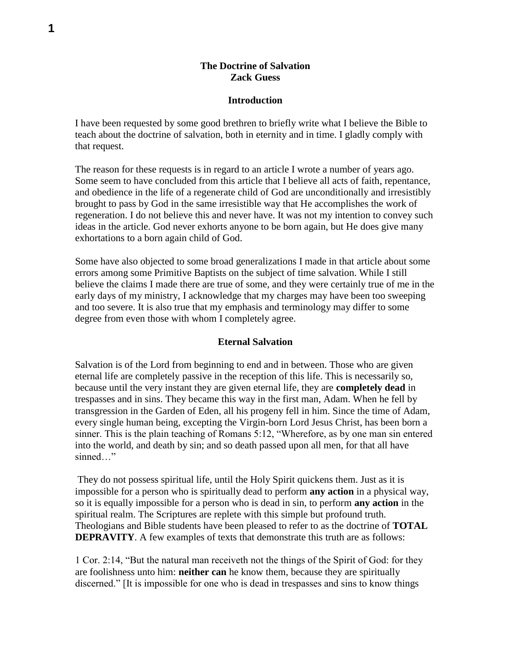## **The Doctrine of Salvation Zack Guess**

### **Introduction**

I have been requested by some good brethren to briefly write what I believe the Bible to teach about the doctrine of salvation, both in eternity and in time. I gladly comply with that request.

The reason for these requests is in regard to an article I wrote a number of years ago. Some seem to have concluded from this article that I believe all acts of faith, repentance, and obedience in the life of a regenerate child of God are unconditionally and irresistibly brought to pass by God in the same irresistible way that He accomplishes the work of regeneration. I do not believe this and never have. It was not my intention to convey such ideas in the article. God never exhorts anyone to be born again, but He does give many exhortations to a born again child of God.

Some have also objected to some broad generalizations I made in that article about some errors among some Primitive Baptists on the subject of time salvation. While I still believe the claims I made there are true of some, and they were certainly true of me in the early days of my ministry, I acknowledge that my charges may have been too sweeping and too severe. It is also true that my emphasis and terminology may differ to some degree from even those with whom I completely agree.

#### **Eternal Salvation**

Salvation is of the Lord from beginning to end and in between. Those who are given eternal life are completely passive in the reception of this life. This is necessarily so, because until the very instant they are given eternal life, they are **completely dead** in trespasses and in sins. They became this way in the first man, Adam. When he fell by transgression in the Garden of Eden, all his progeny fell in him. Since the time of Adam, every single human being, excepting the Virgin-born Lord Jesus Christ, has been born a sinner. This is the plain teaching of Romans 5:12, "Wherefore, as by one man sin entered into the world, and death by sin; and so death passed upon all men, for that all have sinned…"

They do not possess spiritual life, until the Holy Spirit quickens them. Just as it is impossible for a person who is spiritually dead to perform **any action** in a physical way, so it is equally impossible for a person who is dead in sin, to perform **any action** in the spiritual realm. The Scriptures are replete with this simple but profound truth. Theologians and Bible students have been pleased to refer to as the doctrine of **TOTAL DEPRAVITY**. A few examples of texts that demonstrate this truth are as follows:

1 Cor. 2:14, "But the natural man receiveth not the things of the Spirit of God: for they are foolishness unto him: **neither can** he know them, because they are spiritually discerned." [It is impossible for one who is dead in trespasses and sins to know things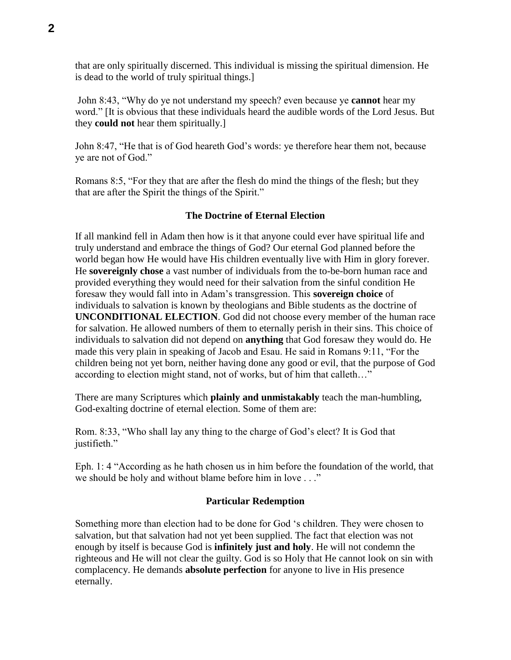that are only spiritually discerned. This individual is missing the spiritual dimension. He is dead to the world of truly spiritual things.]

John 8:43, "Why do ye not understand my speech? even because ye **cannot** hear my word." [It is obvious that these individuals heard the audible words of the Lord Jesus. But they **could not** hear them spiritually.]

John 8:47, "He that is of God heareth God's words: ye therefore hear them not, because ye are not of God."

Romans 8:5, "For they that are after the flesh do mind the things of the flesh; but they that are after the Spirit the things of the Spirit."

# **The Doctrine of Eternal Election**

If all mankind fell in Adam then how is it that anyone could ever have spiritual life and truly understand and embrace the things of God? Our eternal God planned before the world began how He would have His children eventually live with Him in glory forever. He **sovereignly chose** a vast number of individuals from the to-be-born human race and provided everything they would need for their salvation from the sinful condition He foresaw they would fall into in Adam's transgression. This **sovereign choice** of individuals to salvation is known by theologians and Bible students as the doctrine of **UNCONDITIONAL ELECTION**. God did not choose every member of the human race for salvation. He allowed numbers of them to eternally perish in their sins. This choice of individuals to salvation did not depend on **anything** that God foresaw they would do. He made this very plain in speaking of Jacob and Esau. He said in Romans 9:11, "For the children being not yet born, neither having done any good or evil, that the purpose of God according to election might stand, not of works, but of him that calleth…"

There are many Scriptures which **plainly and unmistakably** teach the man-humbling, God-exalting doctrine of eternal election. Some of them are:

Rom. 8:33, "Who shall lay any thing to the charge of God's elect? It is God that justifieth."

Eph. 1: 4 "According as he hath chosen us in him before the foundation of the world, that we should be holy and without blame before him in love . . ."

### **Particular Redemption**

Something more than election had to be done for God 's children. They were chosen to salvation, but that salvation had not yet been supplied. The fact that election was not enough by itself is because God is **infinitely just and holy**. He will not condemn the righteous and He will not clear the guilty. God is so Holy that He cannot look on sin with complacency. He demands **absolute perfection** for anyone to live in His presence eternally.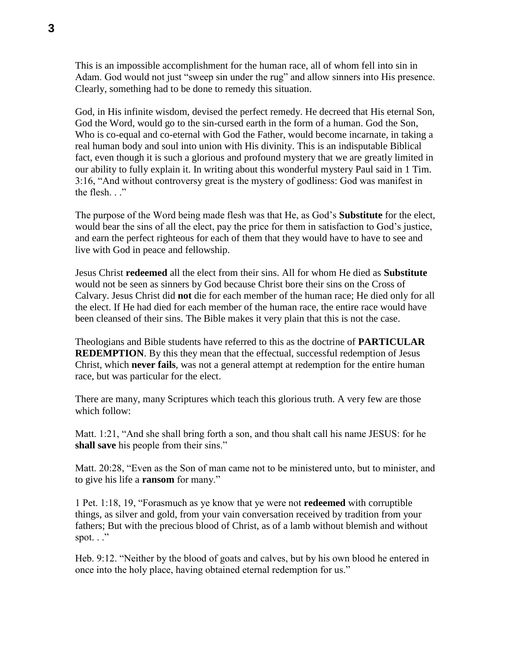This is an impossible accomplishment for the human race, all of whom fell into sin in Adam. God would not just "sweep sin under the rug" and allow sinners into His presence. Clearly, something had to be done to remedy this situation.

God, in His infinite wisdom, devised the perfect remedy. He decreed that His eternal Son, God the Word, would go to the sin-cursed earth in the form of a human. God the Son, Who is co-equal and co-eternal with God the Father, would become incarnate, in taking a real human body and soul into union with His divinity. This is an indisputable Biblical fact, even though it is such a glorious and profound mystery that we are greatly limited in our ability to fully explain it. In writing about this wonderful mystery Paul said in 1 Tim. 3:16, "And without controversy great is the mystery of godliness: God was manifest in the flesh. . ."

The purpose of the Word being made flesh was that He, as God's **Substitute** for the elect, would bear the sins of all the elect, pay the price for them in satisfaction to God's justice, and earn the perfect righteous for each of them that they would have to have to see and live with God in peace and fellowship.

Jesus Christ **redeemed** all the elect from their sins. All for whom He died as **Substitute** would not be seen as sinners by God because Christ bore their sins on the Cross of Calvary. Jesus Christ did **not** die for each member of the human race; He died only for all the elect. If He had died for each member of the human race, the entire race would have been cleansed of their sins. The Bible makes it very plain that this is not the case.

Theologians and Bible students have referred to this as the doctrine of **PARTICULAR REDEMPTION**. By this they mean that the effectual, successful redemption of Jesus Christ, which **never fails**, was not a general attempt at redemption for the entire human race, but was particular for the elect.

There are many, many Scriptures which teach this glorious truth. A very few are those which follow:

Matt. 1:21, "And she shall bring forth a son, and thou shalt call his name JESUS: for he **shall save** his people from their sins."

Matt. 20:28, "Even as the Son of man came not to be ministered unto, but to minister, and to give his life a **ransom** for many."

1 Pet. 1:18, 19, "Forasmuch as ye know that ye were not **redeemed** with corruptible things, as silver and gold, from your vain conversation received by tradition from your fathers; But with the precious blood of Christ, as of a lamb without blemish and without spot.  $\cdot$ ."

Heb. 9:12. "Neither by the blood of goats and calves, but by his own blood he entered in once into the holy place, having obtained eternal redemption for us."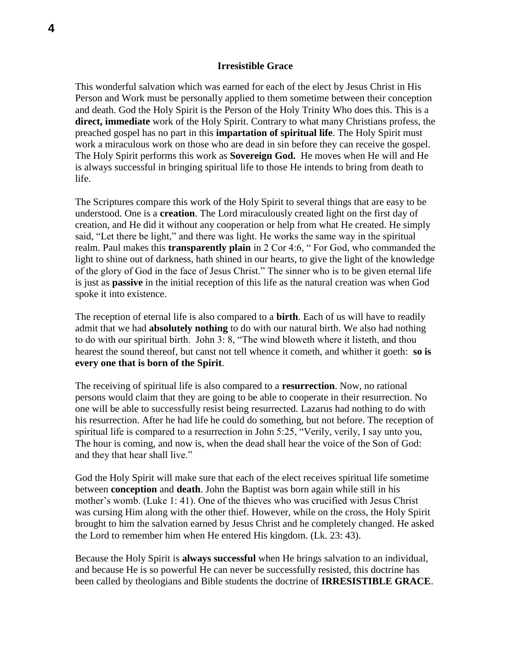### **Irresistible Grace**

This wonderful salvation which was earned for each of the elect by Jesus Christ in His Person and Work must be personally applied to them sometime between their conception and death. God the Holy Spirit is the Person of the Holy Trinity Who does this. This is a **direct, immediate** work of the Holy Spirit. Contrary to what many Christians profess, the preached gospel has no part in this **impartation of spiritual life**. The Holy Spirit must work a miraculous work on those who are dead in sin before they can receive the gospel. The Holy Spirit performs this work as **Sovereign God.** He moves when He will and He is always successful in bringing spiritual life to those He intends to bring from death to life.

The Scriptures compare this work of the Holy Spirit to several things that are easy to be understood. One is a **creation**. The Lord miraculously created light on the first day of creation, and He did it without any cooperation or help from what He created. He simply said, "Let there be light," and there was light. He works the same way in the spiritual realm. Paul makes this **transparently plain** in 2 Cor 4:6, " For God, who commanded the light to shine out of darkness, hath shined in our hearts, to give the light of the knowledge of the glory of God in the face of Jesus Christ." The sinner who is to be given eternal life is just as **passive** in the initial reception of this life as the natural creation was when God spoke it into existence.

The reception of eternal life is also compared to a **birth**. Each of us will have to readily admit that we had **absolutely nothing** to do with our natural birth. We also had nothing to do with our spiritual birth. John 3: 8, "The wind bloweth where it listeth, and thou hearest the sound thereof, but canst not tell whence it cometh, and whither it goeth: **so is every one that is born of the Spirit**.

The receiving of spiritual life is also compared to a **resurrection**. Now, no rational persons would claim that they are going to be able to cooperate in their resurrection. No one will be able to successfully resist being resurrected. Lazarus had nothing to do with his resurrection. After he had life he could do something, but not before. The reception of spiritual life is compared to a resurrection in John 5:25, "Verily, verily, I say unto you, The hour is coming, and now is, when the dead shall hear the voice of the Son of God: and they that hear shall live."

God the Holy Spirit will make sure that each of the elect receives spiritual life sometime between **conception** and **death**. John the Baptist was born again while still in his mother's womb. (Luke 1: 41). One of the thieves who was crucified with Jesus Christ was cursing Him along with the other thief. However, while on the cross, the Holy Spirit brought to him the salvation earned by Jesus Christ and he completely changed. He asked the Lord to remember him when He entered His kingdom. (Lk. 23: 43).

Because the Holy Spirit is **always successful** when He brings salvation to an individual, and because He is so powerful He can never be successfully resisted, this doctrine has been called by theologians and Bible students the doctrine of **IRRESISTIBLE GRACE**.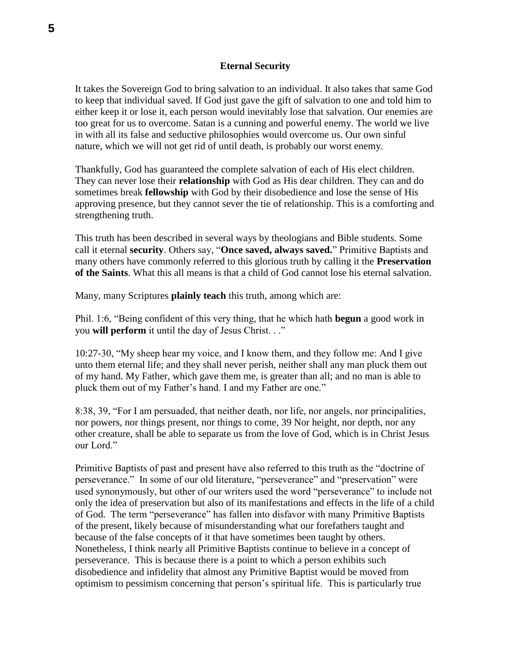## **Eternal Security**

It takes the Sovereign God to bring salvation to an individual. It also takes that same God to keep that individual saved. If God just gave the gift of salvation to one and told him to either keep it or lose it, each person would inevitably lose that salvation. Our enemies are too great for us to overcome. Satan is a cunning and powerful enemy. The world we live in with all its false and seductive philosophies would overcome us. Our own sinful nature, which we will not get rid of until death, is probably our worst enemy.

Thankfully, God has guaranteed the complete salvation of each of His elect children. They can never lose their **relationship** with God as His dear children. They can and do sometimes break **fellowship** with God by their disobedience and lose the sense of His approving presence, but they cannot sever the tie of relationship. This is a comforting and strengthening truth.

This truth has been described in several ways by theologians and Bible students. Some call it eternal **security**. Others say, "**Once saved, always saved.**" Primitive Baptists and many others have commonly referred to this glorious truth by calling it the **Preservation of the Saints**. What this all means is that a child of God cannot lose his eternal salvation.

Many, many Scriptures **plainly teach** this truth, among which are:

Phil. 1:6, "Being confident of this very thing, that he which hath **begun** a good work in you **will perform** it until the day of Jesus Christ. . ."

10:27-30, "My sheep hear my voice, and I know them, and they follow me: And I give unto them eternal life; and they shall never perish, neither shall any man pluck them out of my hand. My Father, which gave them me, is greater than all; and no man is able to pluck them out of my Father's hand. I and my Father are one."

8:38, 39, "For I am persuaded, that neither death, nor life, nor angels, nor principalities, nor powers, nor things present, nor things to come, 39 Nor height, nor depth, nor any other creature, shall be able to separate us from the love of God, which is in Christ Jesus our Lord."

Primitive Baptists of past and present have also referred to this truth as the "doctrine of perseverance." In some of our old literature, "perseverance" and "preservation" were used synonymously, but other of our writers used the word "perseverance" to include not only the idea of preservation but also of its manifestations and effects in the life of a child of God. The term "perseverance" has fallen into disfavor with many Primitive Baptists of the present, likely because of misunderstanding what our forefathers taught and because of the false concepts of it that have sometimes been taught by others. Nonetheless, I think nearly all Primitive Baptists continue to believe in a concept of perseverance. This is because there is a point to which a person exhibits such disobedience and infidelity that almost any Primitive Baptist would be moved from optimism to pessimism concerning that person's spiritual life. This is particularly true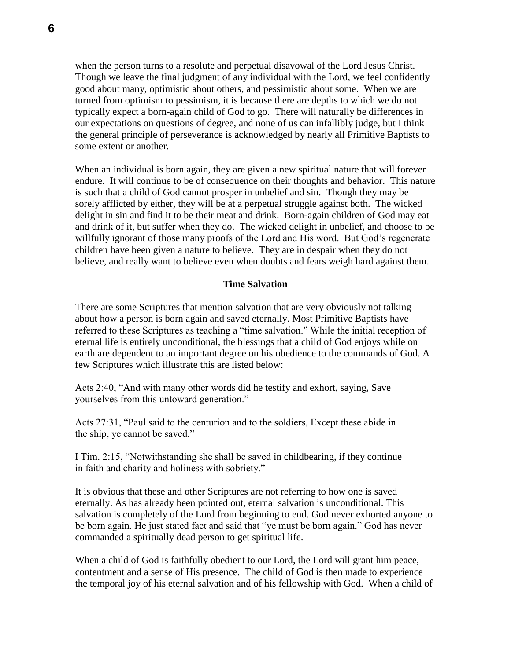when the person turns to a resolute and perpetual disavowal of the Lord Jesus Christ. Though we leave the final judgment of any individual with the Lord, we feel confidently good about many, optimistic about others, and pessimistic about some. When we are turned from optimism to pessimism, it is because there are depths to which we do not typically expect a born-again child of God to go. There will naturally be differences in our expectations on questions of degree, and none of us can infallibly judge, but I think the general principle of perseverance is acknowledged by nearly all Primitive Baptists to some extent or another.

When an individual is born again, they are given a new spiritual nature that will forever endure. It will continue to be of consequence on their thoughts and behavior. This nature is such that a child of God cannot prosper in unbelief and sin. Though they may be sorely afflicted by either, they will be at a perpetual struggle against both. The wicked delight in sin and find it to be their meat and drink. Born-again children of God may eat and drink of it, but suffer when they do. The wicked delight in unbelief, and choose to be willfully ignorant of those many proofs of the Lord and His word. But God's regenerate children have been given a nature to believe. They are in despair when they do not believe, and really want to believe even when doubts and fears weigh hard against them.

# **Time Salvation**

There are some Scriptures that mention salvation that are very obviously not talking about how a person is born again and saved eternally. Most Primitive Baptists have referred to these Scriptures as teaching a "time salvation." While the initial reception of eternal life is entirely unconditional, the blessings that a child of God enjoys while on earth are dependent to an important degree on his obedience to the commands of God. A few Scriptures which illustrate this are listed below:

Acts 2:40, "And with many other words did he testify and exhort, saying, Save yourselves from this untoward generation."

Acts 27:31, "Paul said to the centurion and to the soldiers, Except these abide in the ship, ye cannot be saved."

I Tim. 2:15, "Notwithstanding she shall be saved in childbearing, if they continue in faith and charity and holiness with sobriety."

It is obvious that these and other Scriptures are not referring to how one is saved eternally. As has already been pointed out, eternal salvation is unconditional. This salvation is completely of the Lord from beginning to end. God never exhorted anyone to be born again. He just stated fact and said that "ye must be born again." God has never commanded a spiritually dead person to get spiritual life.

When a child of God is faithfully obedient to our Lord, the Lord will grant him peace, contentment and a sense of His presence. The child of God is then made to experience the temporal joy of his eternal salvation and of his fellowship with God. When a child of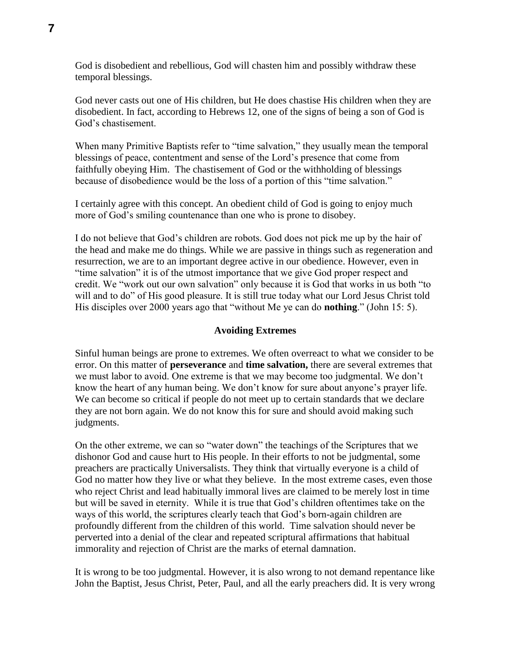God is disobedient and rebellious, God will chasten him and possibly withdraw these temporal blessings.

God never casts out one of His children, but He does chastise His children when they are disobedient. In fact, according to Hebrews 12, one of the signs of being a son of God is God's chastisement.

When many Primitive Baptists refer to "time salvation," they usually mean the temporal blessings of peace, contentment and sense of the Lord's presence that come from faithfully obeying Him. The chastisement of God or the withholding of blessings because of disobedience would be the loss of a portion of this "time salvation."

I certainly agree with this concept. An obedient child of God is going to enjoy much more of God's smiling countenance than one who is prone to disobey.

I do not believe that God's children are robots. God does not pick me up by the hair of the head and make me do things. While we are passive in things such as regeneration and resurrection, we are to an important degree active in our obedience. However, even in "time salvation" it is of the utmost importance that we give God proper respect and credit. We "work out our own salvation" only because it is God that works in us both "to will and to do" of His good pleasure. It is still true today what our Lord Jesus Christ told His disciples over 2000 years ago that "without Me ye can do **nothing**." (John 15: 5).

### **Avoiding Extremes**

Sinful human beings are prone to extremes. We often overreact to what we consider to be error. On this matter of **perseverance** and **time salvation,** there are several extremes that we must labor to avoid. One extreme is that we may become too judgmental. We don't know the heart of any human being. We don't know for sure about anyone's prayer life. We can become so critical if people do not meet up to certain standards that we declare they are not born again. We do not know this for sure and should avoid making such judgments.

On the other extreme, we can so "water down" the teachings of the Scriptures that we dishonor God and cause hurt to His people. In their efforts to not be judgmental, some preachers are practically Universalists. They think that virtually everyone is a child of God no matter how they live or what they believe. In the most extreme cases, even those who reject Christ and lead habitually immoral lives are claimed to be merely lost in time but will be saved in eternity. While it is true that God's children oftentimes take on the ways of this world, the scriptures clearly teach that God's born-again children are profoundly different from the children of this world. Time salvation should never be perverted into a denial of the clear and repeated scriptural affirmations that habitual immorality and rejection of Christ are the marks of eternal damnation.

It is wrong to be too judgmental. However, it is also wrong to not demand repentance like John the Baptist, Jesus Christ, Peter, Paul, and all the early preachers did. It is very wrong